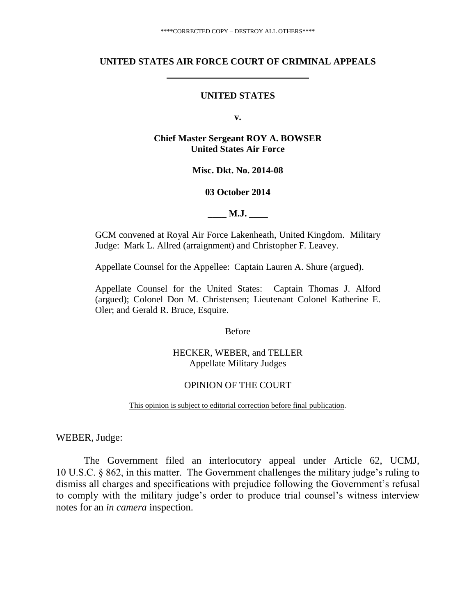#### **UNITED STATES AIR FORCE COURT OF CRIMINAL APPEALS**

### **UNITED STATES**

**v.**

### **Chief Master Sergeant ROY A. BOWSER United States Air Force**

#### **Misc. Dkt. No. 2014-08**

### **03 October 2014**

**M.J.** 

GCM convened at Royal Air Force Lakenheath, United Kingdom. Military Judge: Mark L. Allred (arraignment) and Christopher F. Leavey.

Appellate Counsel for the Appellee: Captain Lauren A. Shure (argued).

Appellate Counsel for the United States: Captain Thomas J. Alford (argued); Colonel Don M. Christensen; Lieutenant Colonel Katherine E. Oler; and Gerald R. Bruce, Esquire.

Before

HECKER, WEBER, and TELLER Appellate Military Judges

### OPINION OF THE COURT

This opinion is subject to editorial correction before final publication.

WEBER, Judge:

The Government filed an interlocutory appeal under Article 62, UCMJ, 10 U.S.C. § 862, in this matter. The Government challenges the military judge's ruling to dismiss all charges and specifications with prejudice following the Government's refusal to comply with the military judge's order to produce trial counsel's witness interview notes for an *in camera* inspection.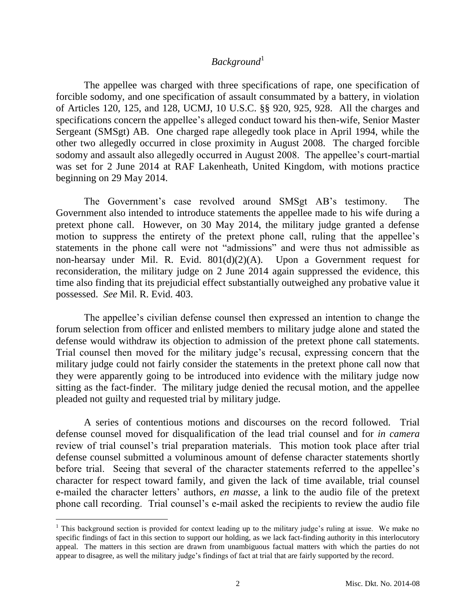# *Background*<sup>1</sup>

The appellee was charged with three specifications of rape, one specification of forcible sodomy, and one specification of assault consummated by a battery, in violation of Articles 120, 125, and 128, UCMJ, 10 U.S.C. §§ 920, 925, 928. All the charges and specifications concern the appellee's alleged conduct toward his then-wife, Senior Master Sergeant (SMSgt) AB. One charged rape allegedly took place in April 1994, while the other two allegedly occurred in close proximity in August 2008. The charged forcible sodomy and assault also allegedly occurred in August 2008. The appellee's court-martial was set for 2 June 2014 at RAF Lakenheath, United Kingdom, with motions practice beginning on 29 May 2014.

The Government's case revolved around SMSgt AB's testimony. The Government also intended to introduce statements the appellee made to his wife during a pretext phone call. However, on 30 May 2014, the military judge granted a defense motion to suppress the entirety of the pretext phone call, ruling that the appellee's statements in the phone call were not "admissions" and were thus not admissible as non-hearsay under Mil. R. Evid. 801(d)(2)(A). Upon a Government request for reconsideration, the military judge on 2 June 2014 again suppressed the evidence, this time also finding that its prejudicial effect substantially outweighed any probative value it possessed. *See* Mil. R. Evid. 403.

The appellee's civilian defense counsel then expressed an intention to change the forum selection from officer and enlisted members to military judge alone and stated the defense would withdraw its objection to admission of the pretext phone call statements. Trial counsel then moved for the military judge's recusal, expressing concern that the military judge could not fairly consider the statements in the pretext phone call now that they were apparently going to be introduced into evidence with the military judge now sitting as the fact-finder. The military judge denied the recusal motion, and the appellee pleaded not guilty and requested trial by military judge.

A series of contentious motions and discourses on the record followed. Trial defense counsel moved for disqualification of the lead trial counsel and for *in camera*  review of trial counsel's trial preparation materials. This motion took place after trial defense counsel submitted a voluminous amount of defense character statements shortly before trial. Seeing that several of the character statements referred to the appellee's character for respect toward family, and given the lack of time available, trial counsel e-mailed the character letters' authors, *en masse*, a link to the audio file of the pretext phone call recording. Trial counsel's e-mail asked the recipients to review the audio file

 $\overline{a}$ 

<sup>&</sup>lt;sup>1</sup> This background section is provided for context leading up to the military judge's ruling at issue. We make no specific findings of fact in this section to support our holding, as we lack fact-finding authority in this interlocutory appeal. The matters in this section are drawn from unambiguous factual matters with which the parties do not appear to disagree, as well the military judge's findings of fact at trial that are fairly supported by the record.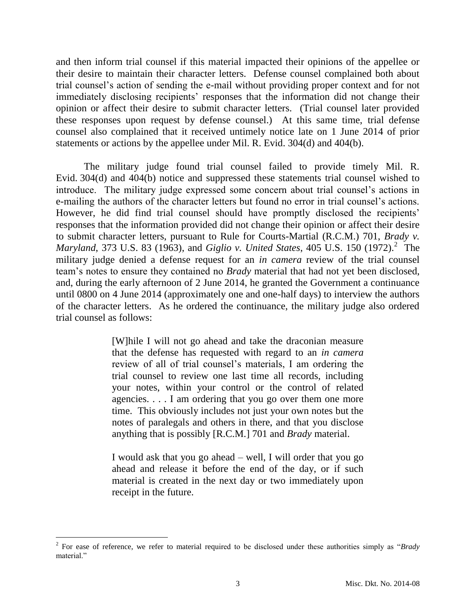and then inform trial counsel if this material impacted their opinions of the appellee or their desire to maintain their character letters. Defense counsel complained both about trial counsel's action of sending the e-mail without providing proper context and for not immediately disclosing recipients' responses that the information did not change their opinion or affect their desire to submit character letters. (Trial counsel later provided these responses upon request by defense counsel.) At this same time, trial defense counsel also complained that it received untimely notice late on 1 June 2014 of prior statements or actions by the appellee under Mil. R. Evid. 304(d) and 404(b).

The military judge found trial counsel failed to provide timely Mil. R. Evid. 304(d) and 404(b) notice and suppressed these statements trial counsel wished to introduce. The military judge expressed some concern about trial counsel's actions in e-mailing the authors of the character letters but found no error in trial counsel's actions. However, he did find trial counsel should have promptly disclosed the recipients' responses that the information provided did not change their opinion or affect their desire to submit character letters, pursuant to Rule for Courts-Martial (R.C.M.) 701, *Brady v.*  Maryland, 373 U.S. 83 (1963), and *Giglio v. United States*, 405 U.S. 150 (1972).<sup>2</sup> The military judge denied a defense request for an *in camera* review of the trial counsel team's notes to ensure they contained no *Brady* material that had not yet been disclosed, and, during the early afternoon of 2 June 2014, he granted the Government a continuance until 0800 on 4 June 2014 (approximately one and one-half days) to interview the authors of the character letters. As he ordered the continuance, the military judge also ordered trial counsel as follows:

> [W]hile I will not go ahead and take the draconian measure that the defense has requested with regard to an *in camera*  review of all of trial counsel's materials, I am ordering the trial counsel to review one last time all records, including your notes, within your control or the control of related agencies. . . . I am ordering that you go over them one more time. This obviously includes not just your own notes but the notes of paralegals and others in there, and that you disclose anything that is possibly [R.C.M.] 701 and *Brady* material.

> I would ask that you go ahead – well, I will order that you go ahead and release it before the end of the day, or if such material is created in the next day or two immediately upon receipt in the future.

<sup>2</sup> For ease of reference, we refer to material required to be disclosed under these authorities simply as "*Brady* material<sup>"</sup>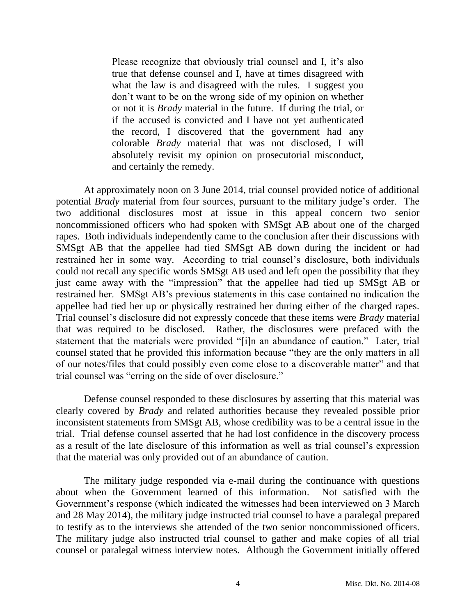Please recognize that obviously trial counsel and I, it's also true that defense counsel and I, have at times disagreed with what the law is and disagreed with the rules. I suggest you don't want to be on the wrong side of my opinion on whether or not it is *Brady* material in the future. If during the trial, or if the accused is convicted and I have not yet authenticated the record, I discovered that the government had any colorable *Brady* material that was not disclosed, I will absolutely revisit my opinion on prosecutorial misconduct, and certainly the remedy.

At approximately noon on 3 June 2014, trial counsel provided notice of additional potential *Brady* material from four sources, pursuant to the military judge's order. The two additional disclosures most at issue in this appeal concern two senior noncommissioned officers who had spoken with SMSgt AB about one of the charged rapes. Both individuals independently came to the conclusion after their discussions with SMSgt AB that the appellee had tied SMSgt AB down during the incident or had restrained her in some way. According to trial counsel's disclosure, both individuals could not recall any specific words SMSgt AB used and left open the possibility that they just came away with the "impression" that the appellee had tied up SMSgt AB or restrained her. SMSgt AB's previous statements in this case contained no indication the appellee had tied her up or physically restrained her during either of the charged rapes. Trial counsel's disclosure did not expressly concede that these items were *Brady* material that was required to be disclosed. Rather, the disclosures were prefaced with the statement that the materials were provided "[i]n an abundance of caution." Later, trial counsel stated that he provided this information because "they are the only matters in all of our notes/files that could possibly even come close to a discoverable matter" and that trial counsel was "erring on the side of over disclosure."

Defense counsel responded to these disclosures by asserting that this material was clearly covered by *Brady* and related authorities because they revealed possible prior inconsistent statements from SMSgt AB, whose credibility was to be a central issue in the trial. Trial defense counsel asserted that he had lost confidence in the discovery process as a result of the late disclosure of this information as well as trial counsel's expression that the material was only provided out of an abundance of caution.

The military judge responded via e-mail during the continuance with questions about when the Government learned of this information. Not satisfied with the Government's response (which indicated the witnesses had been interviewed on 3 March and 28 May 2014), the military judge instructed trial counsel to have a paralegal prepared to testify as to the interviews she attended of the two senior noncommissioned officers. The military judge also instructed trial counsel to gather and make copies of all trial counsel or paralegal witness interview notes. Although the Government initially offered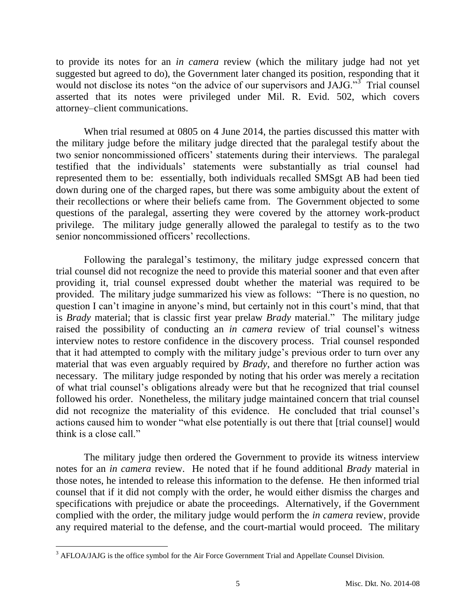to provide its notes for an *in camera* review (which the military judge had not yet suggested but agreed to do), the Government later changed its position, responding that it would not disclose its notes "on the advice of our supervisors and JAJG."<sup>3</sup> Trial counsel asserted that its notes were privileged under Mil. R. Evid. 502, which covers attorney–client communications.

When trial resumed at 0805 on 4 June 2014, the parties discussed this matter with the military judge before the military judge directed that the paralegal testify about the two senior noncommissioned officers' statements during their interviews. The paralegal testified that the individuals' statements were substantially as trial counsel had represented them to be: essentially, both individuals recalled SMSgt AB had been tied down during one of the charged rapes, but there was some ambiguity about the extent of their recollections or where their beliefs came from. The Government objected to some questions of the paralegal, asserting they were covered by the attorney work-product privilege. The military judge generally allowed the paralegal to testify as to the two senior noncommissioned officers' recollections.

Following the paralegal's testimony, the military judge expressed concern that trial counsel did not recognize the need to provide this material sooner and that even after providing it, trial counsel expressed doubt whether the material was required to be provided. The military judge summarized his view as follows: "There is no question, no question I can't imagine in anyone's mind, but certainly not in this court's mind, that that is *Brady* material; that is classic first year prelaw *Brady* material." The military judge raised the possibility of conducting an *in camera* review of trial counsel's witness interview notes to restore confidence in the discovery process. Trial counsel responded that it had attempted to comply with the military judge's previous order to turn over any material that was even arguably required by *Brady*, and therefore no further action was necessary. The military judge responded by noting that his order was merely a recitation of what trial counsel's obligations already were but that he recognized that trial counsel followed his order. Nonetheless, the military judge maintained concern that trial counsel did not recognize the materiality of this evidence. He concluded that trial counsel's actions caused him to wonder "what else potentially is out there that [trial counsel] would think is a close call."

The military judge then ordered the Government to provide its witness interview notes for an *in camera* review. He noted that if he found additional *Brady* material in those notes, he intended to release this information to the defense. He then informed trial counsel that if it did not comply with the order, he would either dismiss the charges and specifications with prejudice or abate the proceedings. Alternatively, if the Government complied with the order, the military judge would perform the *in camera* review, provide any required material to the defense, and the court-martial would proceed. The military

 $\overline{a}$ 

<sup>&</sup>lt;sup>3</sup> AFLOA/JAJG is the office symbol for the Air Force Government Trial and Appellate Counsel Division.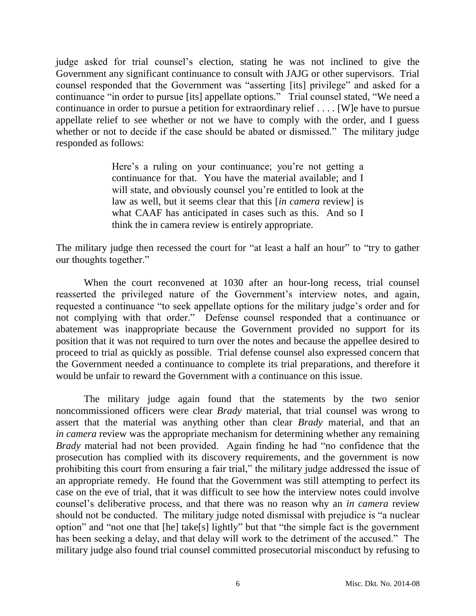judge asked for trial counsel's election, stating he was not inclined to give the Government any significant continuance to consult with JAJG or other supervisors. Trial counsel responded that the Government was "asserting [its] privilege" and asked for a continuance "in order to pursue [its] appellate options." Trial counsel stated, "We need a continuance in order to pursue a petition for extraordinary relief . . . . [W]e have to pursue appellate relief to see whether or not we have to comply with the order, and I guess whether or not to decide if the case should be abated or dismissed." The military judge responded as follows:

> Here's a ruling on your continuance; you're not getting a continuance for that. You have the material available; and I will state, and obviously counsel you're entitled to look at the law as well, but it seems clear that this [*in camera* review] is what CAAF has anticipated in cases such as this. And so I think the in camera review is entirely appropriate.

The military judge then recessed the court for "at least a half an hour" to "try to gather our thoughts together."

When the court reconvened at 1030 after an hour-long recess, trial counsel reasserted the privileged nature of the Government's interview notes, and again, requested a continuance "to seek appellate options for the military judge's order and for not complying with that order." Defense counsel responded that a continuance or abatement was inappropriate because the Government provided no support for its position that it was not required to turn over the notes and because the appellee desired to proceed to trial as quickly as possible. Trial defense counsel also expressed concern that the Government needed a continuance to complete its trial preparations, and therefore it would be unfair to reward the Government with a continuance on this issue.

The military judge again found that the statements by the two senior noncommissioned officers were clear *Brady* material, that trial counsel was wrong to assert that the material was anything other than clear *Brady* material, and that an *in camera* review was the appropriate mechanism for determining whether any remaining *Brady* material had not been provided. Again finding he had "no confidence that the prosecution has complied with its discovery requirements, and the government is now prohibiting this court from ensuring a fair trial," the military judge addressed the issue of an appropriate remedy. He found that the Government was still attempting to perfect its case on the eve of trial, that it was difficult to see how the interview notes could involve counsel's deliberative process, and that there was no reason why an *in camera* review should not be conducted. The military judge noted dismissal with prejudice is "a nuclear option" and "not one that [he] take[s] lightly" but that "the simple fact is the government has been seeking a delay, and that delay will work to the detriment of the accused." The military judge also found trial counsel committed prosecutorial misconduct by refusing to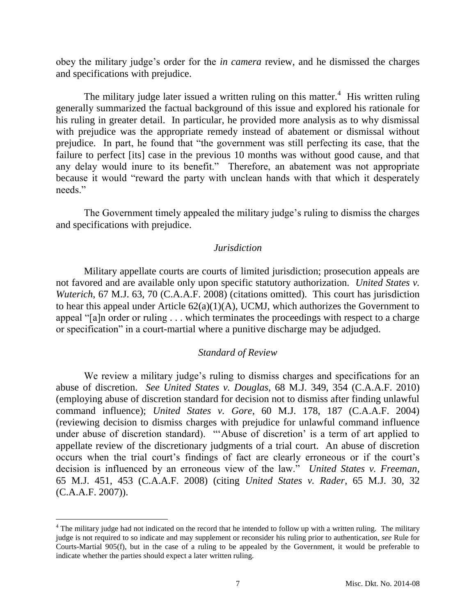obey the military judge's order for the *in camera* review, and he dismissed the charges and specifications with prejudice.

The military judge later issued a written ruling on this matter.<sup>4</sup> His written ruling generally summarized the factual background of this issue and explored his rationale for his ruling in greater detail. In particular, he provided more analysis as to why dismissal with prejudice was the appropriate remedy instead of abatement or dismissal without prejudice. In part, he found that "the government was still perfecting its case, that the failure to perfect [its] case in the previous 10 months was without good cause, and that any delay would inure to its benefit." Therefore, an abatement was not appropriate because it would "reward the party with unclean hands with that which it desperately needs."

The Government timely appealed the military judge's ruling to dismiss the charges and specifications with prejudice.

## *Jurisdiction*

Military appellate courts are courts of limited jurisdiction; prosecution appeals are not favored and are available only upon specific statutory authorization. *United States v. Wuterich*, 67 M.J. 63, 70 (C.A.A.F. 2008) (citations omitted). This court has jurisdiction to hear this appeal under Article  $62(a)(1)(A)$ , UCMJ, which authorizes the Government to appeal "[a]n order or ruling . . . which terminates the proceedings with respect to a charge or specification" in a court-martial where a punitive discharge may be adjudged.

## *Standard of Review*

We review a military judge's ruling to dismiss charges and specifications for an abuse of discretion. *See United States v. Douglas*, 68 M.J. 349, 354 (C.A.A.F. 2010) (employing abuse of discretion standard for decision not to dismiss after finding unlawful command influence); *United States v. Gore*, 60 M.J. 178, 187 (C.A.A.F. 2004) (reviewing decision to dismiss charges with prejudice for unlawful command influence under abuse of discretion standard). "'Abuse of discretion' is a term of art applied to appellate review of the discretionary judgments of a trial court. An abuse of discretion occurs when the trial court's findings of fact are clearly erroneous or if the court's decision is influenced by an erroneous view of the law." *United States v. Freeman*, 65 M.J. 451, 453 (C.A.A.F. 2008) (citing *United States v. Rader*, 65 M.J. 30, 32 (C.A.A.F. 2007)).

 $\overline{a}$ 

<sup>&</sup>lt;sup>4</sup> The military judge had not indicated on the record that he intended to follow up with a written ruling. The military judge is not required to so indicate and may supplement or reconsider his ruling prior to authentication, *see* Rule for Courts-Martial 905(f), but in the case of a ruling to be appealed by the Government, it would be preferable to indicate whether the parties should expect a later written ruling.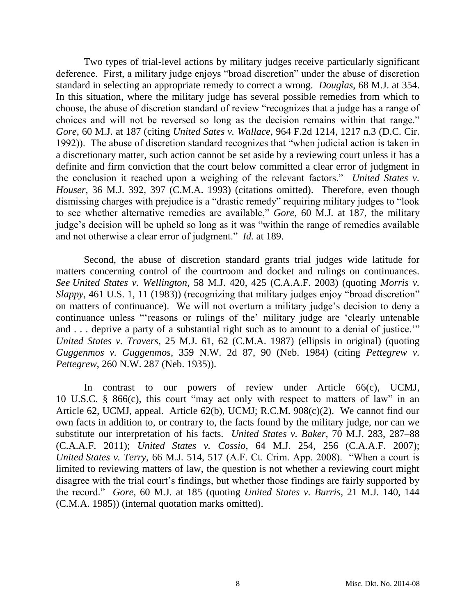Two types of trial-level actions by military judges receive particularly significant deference. First, a military judge enjoys "broad discretion" under the abuse of discretion standard in selecting an appropriate remedy to correct a wrong. *Douglas*, 68 M.J. at 354. In this situation, where the military judge has several possible remedies from which to choose, the abuse of discretion standard of review "recognizes that a judge has a range of choices and will not be reversed so long as the decision remains within that range." *Gore*, 60 M.J. at 187 (citing *United Sates v. Wallace*, 964 F.2d 1214, 1217 n.3 (D.C. Cir. 1992)). The abuse of discretion standard recognizes that "when judicial action is taken in a discretionary matter, such action cannot be set aside by a reviewing court unless it has a definite and firm conviction that the court below committed a clear error of judgment in the conclusion it reached upon a weighing of the relevant factors." *United States v. Houser*, 36 M.J. 392, 397 (C.M.A. 1993) (citations omitted). Therefore, even though dismissing charges with prejudice is a "drastic remedy" requiring military judges to "look to see whether alternative remedies are available," *Gore*, 60 M.J. at 187, the military judge's decision will be upheld so long as it was "within the range of remedies available and not otherwise a clear error of judgment." *Id.* at 189.

Second, the abuse of discretion standard grants trial judges wide latitude for matters concerning control of the courtroom and docket and rulings on continuances. *See United States v. Wellington*, 58 M.J. 420, 425 (C.A.A.F. 2003) (quoting *Morris v. Slappy*, 461 U.S. 1, 11 (1983)) (recognizing that military judges enjoy "broad discretion" on matters of continuance). We will not overturn a military judge's decision to deny a continuance unless "'reasons or rulings of the' military judge are 'clearly untenable and . . . deprive a party of a substantial right such as to amount to a denial of justice.'" *United States v. Travers*, 25 M.J. 61, 62 (C.M.A. 1987) (ellipsis in original) (quoting *Guggenmos v. Guggenmos*, 359 N.W. 2d 87, 90 (Neb. 1984) (citing *Pettegrew v. Pettegrew*, 260 N.W. 287 (Neb. 1935)).

In contrast to our powers of review under Article 66(c), UCMJ, 10 U.S.C. § 866(c), this court "may act only with respect to matters of law" in an Article 62, UCMJ, appeal. Article 62(b), UCMJ; R.C.M. 908(c)(2). We cannot find our own facts in addition to, or contrary to, the facts found by the military judge, nor can we substitute our interpretation of his facts. *United States v. Baker*, 70 M.J. 283, 287–88 (C.A.A.F. 2011); *United States v. Cossio*, 64 M.J. 254, 256 (C.A.A.F. 2007); *United States v. Terry*, 66 M.J. 514, 517 (A.F. Ct. Crim. App. 2008). "When a court is limited to reviewing matters of law, the question is not whether a reviewing court might disagree with the trial court's findings, but whether those findings are fairly supported by the record." *Gore*, 60 M.J. at 185 (quoting *United States v. Burris*, 21 M.J. 140, 144 (C.M.A. 1985)) (internal quotation marks omitted).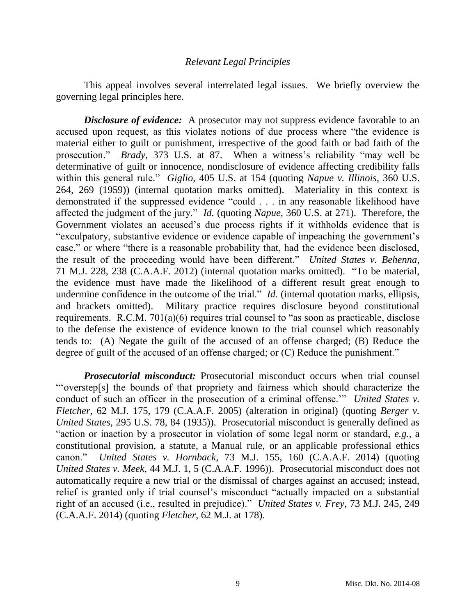### *Relevant Legal Principles*

This appeal involves several interrelated legal issues. We briefly overview the governing legal principles here.

*Disclosure of evidence:* A prosecutor may not suppress evidence favorable to an accused upon request, as this violates notions of due process where "the evidence is material either to guilt or punishment, irrespective of the good faith or bad faith of the prosecution." *Brady*, 373 U.S. at 87. When a witness's reliability "may well be determinative of guilt or innocence, nondisclosure of evidence affecting credibility falls within this general rule." *Giglio*, 405 U.S. at 154 (quoting *Napue v. Illinois*, 360 U.S. 264, 269 (1959)) (internal quotation marks omitted). Materiality in this context is demonstrated if the suppressed evidence "could . . . in any reasonable likelihood have affected the judgment of the jury." *Id.* (quoting *Napue*, 360 U.S. at 271). Therefore, the Government violates an accused's due process rights if it withholds evidence that is "exculpatory, substantive evidence or evidence capable of impeaching the government's case," or where "there is a reasonable probability that, had the evidence been disclosed, the result of the proceeding would have been different." *United States v. Behenna*, 71 M.J. 228, 238 (C.A.A.F. 2012) (internal quotation marks omitted). "To be material, the evidence must have made the likelihood of a different result great enough to undermine confidence in the outcome of the trial." *Id.* (internal quotation marks, ellipsis, and brackets omitted). Military practice requires disclosure beyond constitutional requirements. R.C.M. 701(a)(6) requires trial counsel to "as soon as practicable, disclose to the defense the existence of evidence known to the trial counsel which reasonably tends to: (A) Negate the guilt of the accused of an offense charged; (B) Reduce the degree of guilt of the accused of an offense charged; or (C) Reduce the punishment."

*Prosecutorial misconduct:* Prosecutorial misconduct occurs when trial counsel "'overstep[s] the bounds of that propriety and fairness which should characterize the conduct of such an officer in the prosecution of a criminal offense.'" *United States v. Fletcher*, 62 M.J. 175, 179 (C.A.A.F. 2005) (alteration in original) (quoting *Berger v. United States*, 295 U.S. 78, 84 (1935)). Prosecutorial misconduct is generally defined as "action or inaction by a prosecutor in violation of some legal norm or standard, *e.g.*, a constitutional provision, a statute, a Manual rule, or an applicable professional ethics canon." *United States v. Hornback*, 73 M.J. 155, 160 (C.A.A.F. 2014) (quoting *United States v. Meek*, 44 M.J. 1, 5 (C.A.A.F. 1996)). Prosecutorial misconduct does not automatically require a new trial or the dismissal of charges against an accused; instead, relief is granted only if trial counsel's misconduct "actually impacted on a substantial right of an accused (i.e., resulted in prejudice)." *United States v. Frey*, 73 M.J. 245, 249 (C.A.A.F. 2014) (quoting *Fletcher*, 62 M.J. at 178).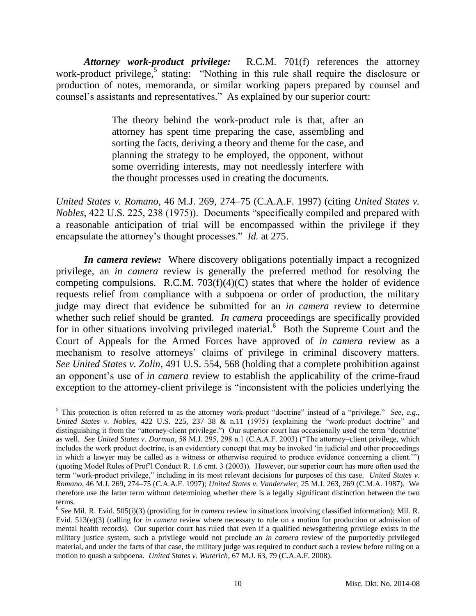*Attorney work-product privilege:* R.C.M. 701(f) references the attorney work-product privilege,<sup>5</sup> stating: "Nothing in this rule shall require the disclosure or production of notes, memoranda, or similar working papers prepared by counsel and counsel's assistants and representatives." As explained by our superior court:

> The theory behind the work-product rule is that, after an attorney has spent time preparing the case, assembling and sorting the facts, deriving a theory and theme for the case, and planning the strategy to be employed, the opponent, without some overriding interests, may not needlessly interfere with the thought processes used in creating the documents.

*United States v. Romano*, 46 M.J. 269, 274–75 (C.A.A.F. 1997) (citing *United States v. Nobles*, 422 U.S. 225, 238 (1975)). Documents "specifically compiled and prepared with a reasonable anticipation of trial will be encompassed within the privilege if they encapsulate the attorney's thought processes." *Id.* at 275.

*In camera review:* Where discovery obligations potentially impact a recognized privilege, an *in camera* review is generally the preferred method for resolving the competing compulsions. R.C.M.  $703(f)(4)(C)$  states that where the holder of evidence requests relief from compliance with a subpoena or order of production, the military judge may direct that evidence be submitted for an *in camera* review to determine whether such relief should be granted. *In camera* proceedings are specifically provided for in other situations involving privileged material.<sup>6</sup> Both the Supreme Court and the Court of Appeals for the Armed Forces have approved of *in camera* review as a mechanism to resolve attorneys' claims of privilege in criminal discovery matters. *See United States v. Zolin*, 491 U.S. 554, 568 (holding that a complete prohibition against an opponent's use of *in camera* review to establish the applicability of the crime-fraud exception to the attorney-client privilege is "inconsistent with the policies underlying the

<sup>5</sup> This protection is often referred to as the attorney work-product "doctrine" instead of a "privilege." *See, e.g.*, *United States v. Nobles*, 422 U.S. 225, 237–38 & n.11 (1975) (explaining the "work-product doctrine" and distinguishing it from the "attorney-client privilege.") Our superior court has occasionally used the term "doctrine" as well. *See United States v. Dorman*, 58 M.J. 295, 298 n.1 (C.A.A.F. 2003) ("The attorney–client privilege, which includes the work product doctrine, is an evidentiary concept that may be invoked 'in judicial and other proceedings in which a lawyer may be called as a witness or otherwise required to produce evidence concerning a client.'") (quoting Model Rules of Prof'l Conduct R. 1.6 cmt. 3 (2003)). However, our superior court has more often used the term "work-product privilege," including in its most relevant decisions for purposes of this case. *United States v. Romano*, 46 M.J. 269, 274–75 (C.A.A.F. 1997); *United States v. Vanderwier*, 25 M.J. 263, 269 (C.M.A. 1987). We therefore use the latter term without determining whether there is a legally significant distinction between the two terms.

<sup>6</sup> *See* Mil. R. Evid. 505(i)(3) (providing for *in camera* review in situations involving classified information); Mil. R. Evid. 513(e)(3) (calling for *in camera* review where necessary to rule on a motion for production or admission of mental health records). Our superior court has ruled that even if a qualified newsgathering privilege exists in the military justice system, such a privilege would not preclude an *in camera* review of the purportedly privileged material, and under the facts of that case, the military judge was required to conduct such a review before ruling on a motion to quash a subpoena. *United States v. Wuterich*, 67 M.J. 63, 79 (C.A.A.F. 2008).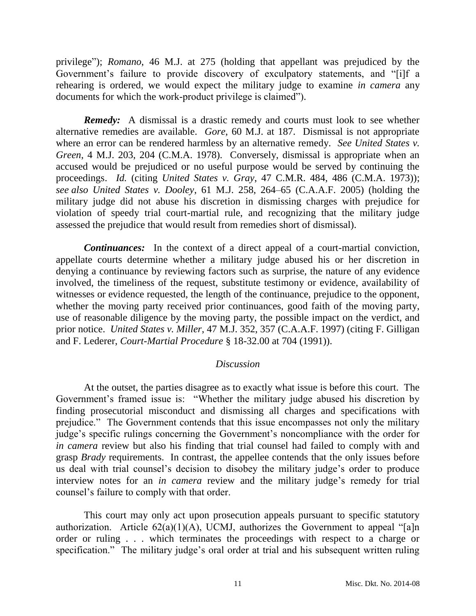privilege"); *Romano*, 46 M.J. at 275 (holding that appellant was prejudiced by the Government's failure to provide discovery of exculpatory statements, and "[i]f a rehearing is ordered, we would expect the military judge to examine *in camera* any documents for which the work-product privilege is claimed").

*Remedy:* A dismissal is a drastic remedy and courts must look to see whether alternative remedies are available. *Gore*, 60 M.J. at 187. Dismissal is not appropriate where an error can be rendered harmless by an alternative remedy. *See United States v. Green*, 4 M.J. 203, 204 (C.M.A. 1978). Conversely, dismissal is appropriate when an accused would be prejudiced or no useful purpose would be served by continuing the proceedings. *Id.* (citing *United States v. Gray*, 47 C.M.R. 484, 486 (C.M.A. 1973)); *see also United States v. Dooley*, 61 M.J. 258, 264–65 (C.A.A.F. 2005) (holding the military judge did not abuse his discretion in dismissing charges with prejudice for violation of speedy trial court-martial rule, and recognizing that the military judge assessed the prejudice that would result from remedies short of dismissal).

*Continuances:* In the context of a direct appeal of a court-martial conviction, appellate courts determine whether a military judge abused his or her discretion in denying a continuance by reviewing factors such as surprise, the nature of any evidence involved, the timeliness of the request, substitute testimony or evidence, availability of witnesses or evidence requested, the length of the continuance, prejudice to the opponent, whether the moving party received prior continuances, good faith of the moving party, use of reasonable diligence by the moving party, the possible impact on the verdict, and prior notice. *United States v. Miller*, 47 M.J. 352, 357 (C.A.A.F. 1997) (citing F. Gilligan and F. Lederer, *Court-Martial Procedure* § 18-32.00 at 704 (1991)).

### *Discussion*

At the outset, the parties disagree as to exactly what issue is before this court. The Government's framed issue is: "Whether the military judge abused his discretion by finding prosecutorial misconduct and dismissing all charges and specifications with prejudice." The Government contends that this issue encompasses not only the military judge's specific rulings concerning the Government's noncompliance with the order for *in camera* review but also his finding that trial counsel had failed to comply with and grasp *Brady* requirements. In contrast, the appellee contends that the only issues before us deal with trial counsel's decision to disobey the military judge's order to produce interview notes for an *in camera* review and the military judge's remedy for trial counsel's failure to comply with that order.

This court may only act upon prosecution appeals pursuant to specific statutory authorization. Article  $62(a)(1)(A)$ , UCMJ, authorizes the Government to appeal "[a]n order or ruling . . . which terminates the proceedings with respect to a charge or specification." The military judge's oral order at trial and his subsequent written ruling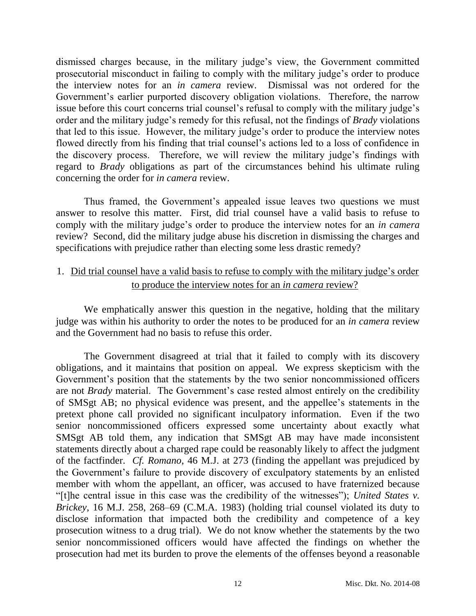dismissed charges because, in the military judge's view, the Government committed prosecutorial misconduct in failing to comply with the military judge's order to produce the interview notes for an *in camera* review. Dismissal was not ordered for the Government's earlier purported discovery obligation violations. Therefore, the narrow issue before this court concerns trial counsel's refusal to comply with the military judge's order and the military judge's remedy for this refusal, not the findings of *Brady* violations that led to this issue. However, the military judge's order to produce the interview notes flowed directly from his finding that trial counsel's actions led to a loss of confidence in the discovery process. Therefore, we will review the military judge's findings with regard to *Brady* obligations as part of the circumstances behind his ultimate ruling concerning the order for *in camera* review.

Thus framed, the Government's appealed issue leaves two questions we must answer to resolve this matter. First, did trial counsel have a valid basis to refuse to comply with the military judge's order to produce the interview notes for an *in camera*  review? Second, did the military judge abuse his discretion in dismissing the charges and specifications with prejudice rather than electing some less drastic remedy?

## 1. Did trial counsel have a valid basis to refuse to comply with the military judge's order to produce the interview notes for an *in camera* review?

We emphatically answer this question in the negative, holding that the military judge was within his authority to order the notes to be produced for an *in camera* review and the Government had no basis to refuse this order.

The Government disagreed at trial that it failed to comply with its discovery obligations, and it maintains that position on appeal. We express skepticism with the Government's position that the statements by the two senior noncommissioned officers are not *Brady* material. The Government's case rested almost entirely on the credibility of SMSgt AB; no physical evidence was present, and the appellee's statements in the pretext phone call provided no significant inculpatory information. Even if the two senior noncommissioned officers expressed some uncertainty about exactly what SMSgt AB told them, any indication that SMSgt AB may have made inconsistent statements directly about a charged rape could be reasonably likely to affect the judgment of the factfinder. *Cf. Romano*, 46 M.J. at 273 (finding the appellant was prejudiced by the Government's failure to provide discovery of exculpatory statements by an enlisted member with whom the appellant, an officer, was accused to have fraternized because "[t]he central issue in this case was the credibility of the witnesses"); *United States v. Brickey*, 16 M.J. 258, 268–69 (C.M.A. 1983) (holding trial counsel violated its duty to disclose information that impacted both the credibility and competence of a key prosecution witness to a drug trial). We do not know whether the statements by the two senior noncommissioned officers would have affected the findings on whether the prosecution had met its burden to prove the elements of the offenses beyond a reasonable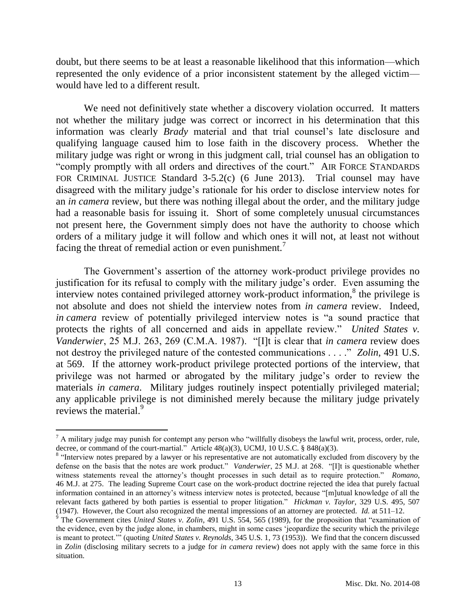doubt, but there seems to be at least a reasonable likelihood that this information—which represented the only evidence of a prior inconsistent statement by the alleged victim would have led to a different result.

We need not definitively state whether a discovery violation occurred. It matters not whether the military judge was correct or incorrect in his determination that this information was clearly *Brady* material and that trial counsel's late disclosure and qualifying language caused him to lose faith in the discovery process. Whether the military judge was right or wrong in this judgment call, trial counsel has an obligation to "comply promptly with all orders and directives of the court." AIR FORCE STANDARDS FOR CRIMINAL JUSTICE Standard 3-5.2(c) (6 June 2013). Trial counsel may have disagreed with the military judge's rationale for his order to disclose interview notes for an *in camera* review, but there was nothing illegal about the order, and the military judge had a reasonable basis for issuing it. Short of some completely unusual circumstances not present here, the Government simply does not have the authority to choose which orders of a military judge it will follow and which ones it will not, at least not without facing the threat of remedial action or even punishment.<sup>7</sup>

The Government's assertion of the attorney work-product privilege provides no justification for its refusal to comply with the military judge's order. Even assuming the interview notes contained privileged attorney work-product information, $8$  the privilege is not absolute and does not shield the interview notes from *in camera* review. Indeed, *in camera* review of potentially privileged interview notes is "a sound practice that protects the rights of all concerned and aids in appellate review." *United States v. Vanderwier*, 25 M.J. 263, 269 (C.M.A. 1987). "[I]t is clear that *in camera* review does not destroy the privileged nature of the contested communications . . . ." *Zolin*, 491 U.S. at 569. If the attorney work-product privilege protected portions of the interview, that privilege was not harmed or abrogated by the military judge's order to review the materials *in camera*. Military judges routinely inspect potentially privileged material; any applicable privilege is not diminished merely because the military judge privately reviews the material.<sup>9</sup>

 $<sup>7</sup>$  A military judge may punish for contempt any person who "willfully disobeys the lawful writ, process, order, rule,</sup> decree, or command of the court-martial." Article 48(a)(3), UCMJ, 10 U.S.C. § 848(a)(3).

<sup>&</sup>lt;sup>8</sup> "Interview notes prepared by a lawyer or his representative are not automatically excluded from discovery by the defense on the basis that the notes are work product." *Vanderwier*, 25 M.J. at 268. "[I]t is questionable whether witness statements reveal the attorney's thought processes in such detail as to require protection." *Romano*, 46 M.J. at 275. The leading Supreme Court case on the work-product doctrine rejected the idea that purely factual information contained in an attorney's witness interview notes is protected, because "[m]utual knowledge of all the relevant facts gathered by both parties is essential to proper litigation." *Hickman v. Taylor*, 329 U.S. 495, 507 (1947). However, the Court also recognized the mental impressions of an attorney are protected. *Id.* at 511–12.

<sup>&</sup>lt;sup>9</sup> The Government cites *United States v. Zolin*, 491 U.S. 554, 565 (1989), for the proposition that "examination of the evidence, even by the judge alone, in chambers, might in some cases 'jeopardize the security which the privilege is meant to protect.'" (quoting *United States v. Reynolds*, 345 U.S. 1, 73 (1953)). We find that the concern discussed in *Zolin* (disclosing military secrets to a judge for *in camera* review) does not apply with the same force in this situation.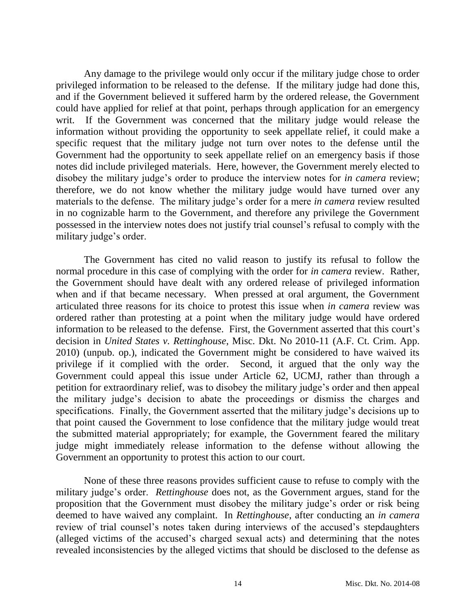Any damage to the privilege would only occur if the military judge chose to order privileged information to be released to the defense. If the military judge had done this, and if the Government believed it suffered harm by the ordered release, the Government could have applied for relief at that point, perhaps through application for an emergency writ. If the Government was concerned that the military judge would release the information without providing the opportunity to seek appellate relief, it could make a specific request that the military judge not turn over notes to the defense until the Government had the opportunity to seek appellate relief on an emergency basis if those notes did include privileged materials. Here, however, the Government merely elected to disobey the military judge's order to produce the interview notes for *in camera* review; therefore, we do not know whether the military judge would have turned over any materials to the defense. The military judge's order for a mere *in camera* review resulted in no cognizable harm to the Government, and therefore any privilege the Government possessed in the interview notes does not justify trial counsel's refusal to comply with the military judge's order.

The Government has cited no valid reason to justify its refusal to follow the normal procedure in this case of complying with the order for *in camera* review. Rather, the Government should have dealt with any ordered release of privileged information when and if that became necessary. When pressed at oral argument, the Government articulated three reasons for its choice to protest this issue when *in camera* review was ordered rather than protesting at a point when the military judge would have ordered information to be released to the defense. First, the Government asserted that this court's decision in *United States v. Rettinghouse*, Misc. Dkt. No 2010-11 (A.F. Ct. Crim. App. 2010) (unpub. op.), indicated the Government might be considered to have waived its privilege if it complied with the order. Second, it argued that the only way the Government could appeal this issue under Article 62, UCMJ, rather than through a petition for extraordinary relief, was to disobey the military judge's order and then appeal the military judge's decision to abate the proceedings or dismiss the charges and specifications. Finally, the Government asserted that the military judge's decisions up to that point caused the Government to lose confidence that the military judge would treat the submitted material appropriately; for example, the Government feared the military judge might immediately release information to the defense without allowing the Government an opportunity to protest this action to our court.

None of these three reasons provides sufficient cause to refuse to comply with the military judge's order. *Rettinghouse* does not, as the Government argues, stand for the proposition that the Government must disobey the military judge's order or risk being deemed to have waived any complaint. In *Rettinghouse*, after conducting an *in camera*  review of trial counsel's notes taken during interviews of the accused's stepdaughters (alleged victims of the accused's charged sexual acts) and determining that the notes revealed inconsistencies by the alleged victims that should be disclosed to the defense as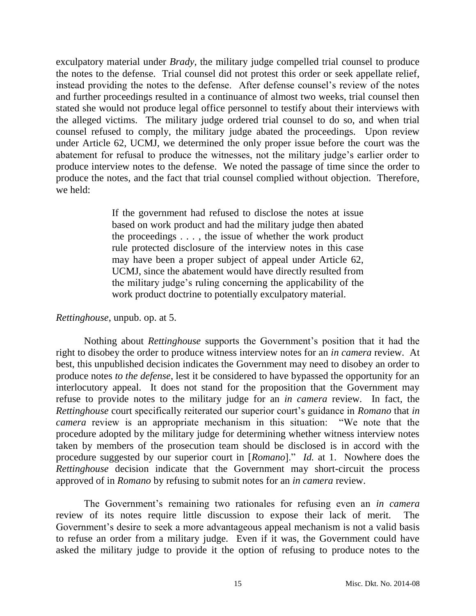exculpatory material under *Brady*, the military judge compelled trial counsel to produce the notes to the defense. Trial counsel did not protest this order or seek appellate relief, instead providing the notes to the defense. After defense counsel's review of the notes and further proceedings resulted in a continuance of almost two weeks, trial counsel then stated she would not produce legal office personnel to testify about their interviews with the alleged victims. The military judge ordered trial counsel to do so, and when trial counsel refused to comply, the military judge abated the proceedings. Upon review under Article 62, UCMJ, we determined the only proper issue before the court was the abatement for refusal to produce the witnesses, not the military judge's earlier order to produce interview notes to the defense. We noted the passage of time since the order to produce the notes, and the fact that trial counsel complied without objection. Therefore, we held:

> If the government had refused to disclose the notes at issue based on work product and had the military judge then abated the proceedings . . . , the issue of whether the work product rule protected disclosure of the interview notes in this case may have been a proper subject of appeal under Article 62, UCMJ, since the abatement would have directly resulted from the military judge's ruling concerning the applicability of the work product doctrine to potentially exculpatory material.

### *Rettinghouse*, unpub. op. at 5.

Nothing about *Rettinghouse* supports the Government's position that it had the right to disobey the order to produce witness interview notes for an *in camera* review. At best, this unpublished decision indicates the Government may need to disobey an order to produce notes *to the defense*, lest it be considered to have bypassed the opportunity for an interlocutory appeal. It does not stand for the proposition that the Government may refuse to provide notes to the military judge for an *in camera* review. In fact, the *Rettinghouse* court specifically reiterated our superior court's guidance in *Romano* that *in camera* review is an appropriate mechanism in this situation: "We note that the procedure adopted by the military judge for determining whether witness interview notes taken by members of the prosecution team should be disclosed is in accord with the procedure suggested by our superior court in [*Romano*]." *Id.* at 1. Nowhere does the *Rettinghouse* decision indicate that the Government may short-circuit the process approved of in *Romano* by refusing to submit notes for an *in camera* review.

The Government's remaining two rationales for refusing even an *in camera* review of its notes require little discussion to expose their lack of merit. The Government's desire to seek a more advantageous appeal mechanism is not a valid basis to refuse an order from a military judge. Even if it was, the Government could have asked the military judge to provide it the option of refusing to produce notes to the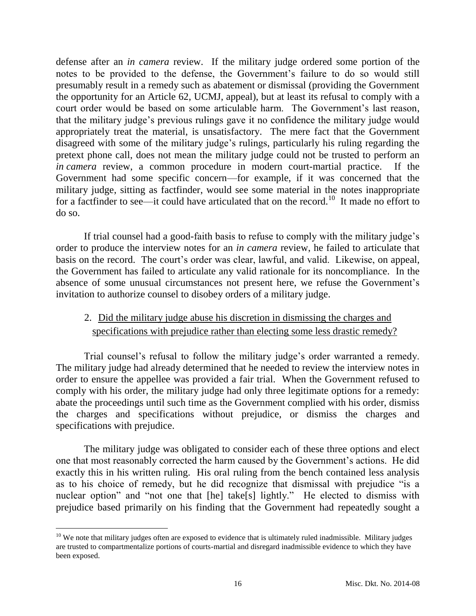defense after an *in camera* review. If the military judge ordered some portion of the notes to be provided to the defense, the Government's failure to do so would still presumably result in a remedy such as abatement or dismissal (providing the Government the opportunity for an Article 62, UCMJ, appeal), but at least its refusal to comply with a court order would be based on some articulable harm. The Government's last reason, that the military judge's previous rulings gave it no confidence the military judge would appropriately treat the material, is unsatisfactory. The mere fact that the Government disagreed with some of the military judge's rulings, particularly his ruling regarding the pretext phone call, does not mean the military judge could not be trusted to perform an *in camera* review, a common procedure in modern court-martial practice. If the Government had some specific concern—for example, if it was concerned that the military judge, sitting as factfinder, would see some material in the notes inappropriate for a factfinder to see—it could have articulated that on the record.<sup>10</sup> It made no effort to do so.

If trial counsel had a good-faith basis to refuse to comply with the military judge's order to produce the interview notes for an *in camera* review, he failed to articulate that basis on the record. The court's order was clear, lawful, and valid. Likewise, on appeal, the Government has failed to articulate any valid rationale for its noncompliance. In the absence of some unusual circumstances not present here, we refuse the Government's invitation to authorize counsel to disobey orders of a military judge.

# 2. Did the military judge abuse his discretion in dismissing the charges and specifications with prejudice rather than electing some less drastic remedy?

Trial counsel's refusal to follow the military judge's order warranted a remedy. The military judge had already determined that he needed to review the interview notes in order to ensure the appellee was provided a fair trial. When the Government refused to comply with his order, the military judge had only three legitimate options for a remedy: abate the proceedings until such time as the Government complied with his order, dismiss the charges and specifications without prejudice, or dismiss the charges and specifications with prejudice.

The military judge was obligated to consider each of these three options and elect one that most reasonably corrected the harm caused by the Government's actions. He did exactly this in his written ruling. His oral ruling from the bench contained less analysis as to his choice of remedy, but he did recognize that dismissal with prejudice "is a nuclear option" and "not one that [he] take[s] lightly." He elected to dismiss with prejudice based primarily on his finding that the Government had repeatedly sought a

 $\overline{a}$  $10$  We note that military judges often are exposed to evidence that is ultimately ruled inadmissible. Military judges are trusted to compartmentalize portions of courts-martial and disregard inadmissible evidence to which they have been exposed.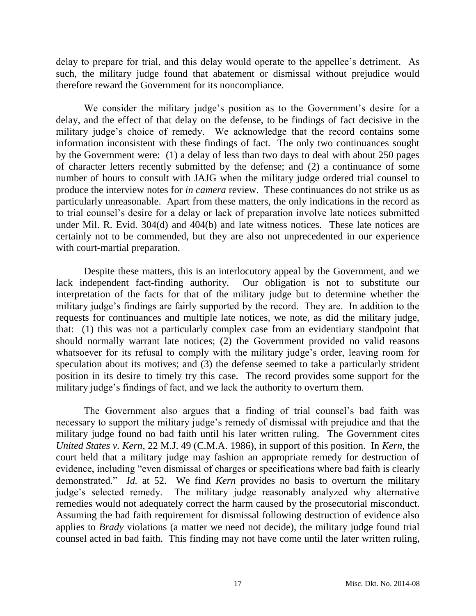delay to prepare for trial, and this delay would operate to the appellee's detriment. As such, the military judge found that abatement or dismissal without prejudice would therefore reward the Government for its noncompliance.

We consider the military judge's position as to the Government's desire for a delay, and the effect of that delay on the defense, to be findings of fact decisive in the military judge's choice of remedy. We acknowledge that the record contains some information inconsistent with these findings of fact. The only two continuances sought by the Government were: (1) a delay of less than two days to deal with about 250 pages of character letters recently submitted by the defense; and (2) a continuance of some number of hours to consult with JAJG when the military judge ordered trial counsel to produce the interview notes for *in camera* review. These continuances do not strike us as particularly unreasonable. Apart from these matters, the only indications in the record as to trial counsel's desire for a delay or lack of preparation involve late notices submitted under Mil. R. Evid. 304(d) and 404(b) and late witness notices. These late notices are certainly not to be commended, but they are also not unprecedented in our experience with court-martial preparation.

Despite these matters, this is an interlocutory appeal by the Government, and we lack independent fact-finding authority. Our obligation is not to substitute our interpretation of the facts for that of the military judge but to determine whether the military judge's findings are fairly supported by the record. They are. In addition to the requests for continuances and multiple late notices, we note, as did the military judge, that: (1) this was not a particularly complex case from an evidentiary standpoint that should normally warrant late notices; (2) the Government provided no valid reasons whatsoever for its refusal to comply with the military judge's order, leaving room for speculation about its motives; and (3) the defense seemed to take a particularly strident position in its desire to timely try this case. The record provides some support for the military judge's findings of fact, and we lack the authority to overturn them.

The Government also argues that a finding of trial counsel's bad faith was necessary to support the military judge's remedy of dismissal with prejudice and that the military judge found no bad faith until his later written ruling. The Government cites *United States v. Kern*, 22 M.J. 49 (C.M.A. 1986), in support of this position. In *Kern*, the court held that a military judge may fashion an appropriate remedy for destruction of evidence, including "even dismissal of charges or specifications where bad faith is clearly demonstrated." *Id.* at 52. We find *Kern* provides no basis to overturn the military judge's selected remedy. The military judge reasonably analyzed why alternative remedies would not adequately correct the harm caused by the prosecutorial misconduct. Assuming the bad faith requirement for dismissal following destruction of evidence also applies to *Brady* violations (a matter we need not decide), the military judge found trial counsel acted in bad faith. This finding may not have come until the later written ruling,